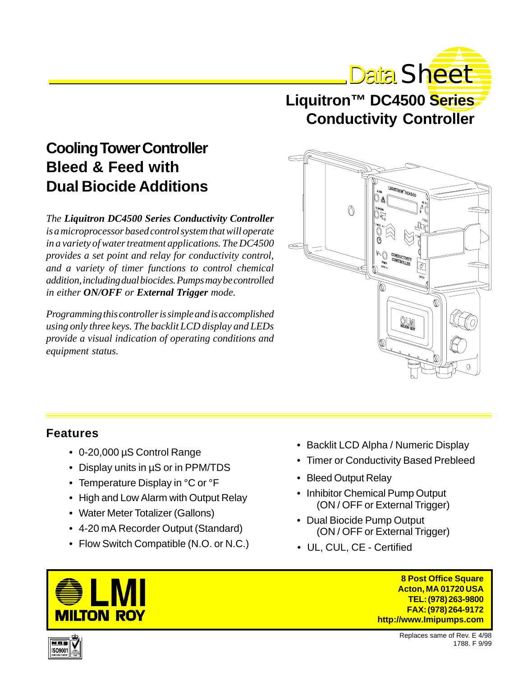

# **Liquitron™ DC4500 Series Conductivity Controller**

# **Cooling Tower Controller Bleed & Feed with Dual Biocide Additions**

*The Liquitron DC4500 Series Conductivity Controller is a microprocessor based control system that will operate in a variety of water treatment applications. The DC4500 provides a set point and relay for conductivity control, and a variety of timer functions to control chemical addition, including dual biocides. Pumps may be controlled in either ON/OFF or External Trigger mode.*

*Programming this controller is simple and is accomplished using only three keys. The backlit LCD display and LEDs provide a visual indication of operating conditions and equipment status.*



# **Features**

- 0-20,000 µS Control Range
- Display units in µS or in PPM/TDS
- Temperature Display in °C or °F
- High and Low Alarm with Output Relay
- Water Meter Totalizer (Gallons)
- 4-20 mA Recorder Output (Standard)
- Flow Switch Compatible (N.O. or N.C.)
- Backlit LCD Alpha / Numeric Display
- Timer or Conductivity Based Prebleed
- Bleed Output Relay
- Inhibitor Chemical Pump Output (ON / OFF or External Trigger)
- Dual Biocide Pump Output (ON / OFF or External Trigger)
- UL, CUL, CE Certified

**MILTON ROY** 

**8 Post Office Square Acton, MA 01720 USA TEL: (978) 263-9800 FAX: (978) 264-9172 http://www.Imipumps.com**



Replaces same of Rev. E 4/98 1788. F 9/99